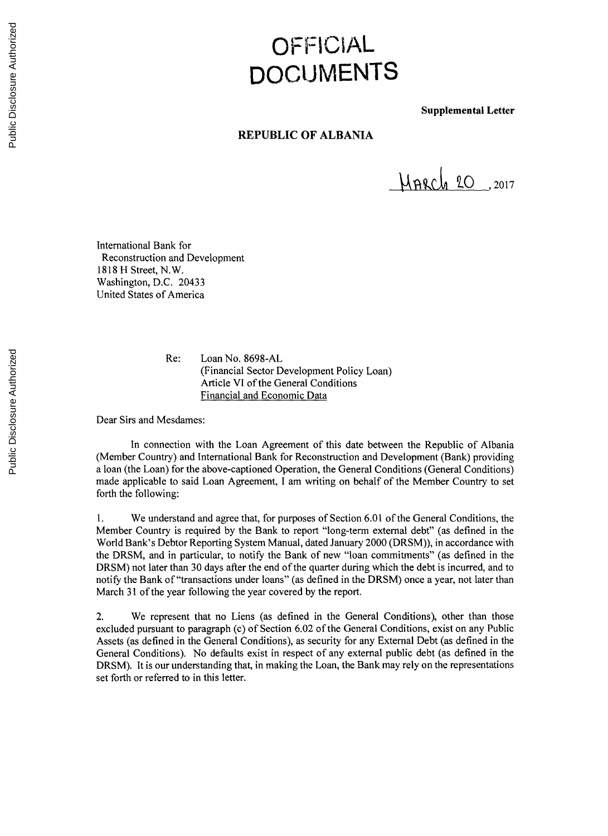## **OFFICIAL DOCUMENTS**

**Supplemental Letter**

## **REPUBLIC OF ALBANIA**

 $M$ <sub>A</sub> 20 , 2017

International Bank for Reconstruction and Development **1818** H Street, N.W. Washington, **D.C.** 20433 United States of America

> Re: Loan No. **8698-AL** (Financial Sector Development Policy Loan) Article VI of the General Conditions Financial and Economic Data

Dear Sirs and Mesdames:

In connection with the Loan Agreement of this date between the Republic of Albania (Member Country) and International Bank for Reconstruction and Development (Bank) providing a loan (the Loan) for the above-captioned Operation, the General Conditions (General Conditions) made applicable to said Loan Agreement, **I** am writing on behalf of the Member Country to set forth the following:

**1.** We understand and agree that, for purposes of Section **6.01** of the General Conditions, the Member Country is required **by** the Bank to report "long-term external debt" (as defined in the World Bank's Debtor Reporting System Manual, dated January 2000 (DRSM)), in accordance with the DRSM, and in particular, to notify the Bank of new "loan commitments" (as defined in the DRSM) not later than **<sup>30</sup>**days after the end of the quarter during which the debt is incurred, and to notify the Bank of "transactions under loans" (as defined in the DRSM) once a year, not later than March **31** of the year following the year covered **by** the report.

2. We represent that no Liens (as defined in the General Conditions), other than those excluded pursuant to paragraph (c) of Section **6.02** of the General Conditions, exist on any Public Assets (as defined in the General Conditions), as security for any External Debt (as defined in the General Conditions). No defaults exist in respect of any external public debt (as defined in the DRSM). It is our understanding that, in making the Loan, the Bank may rely on the representations set forth or referred to in this letter.